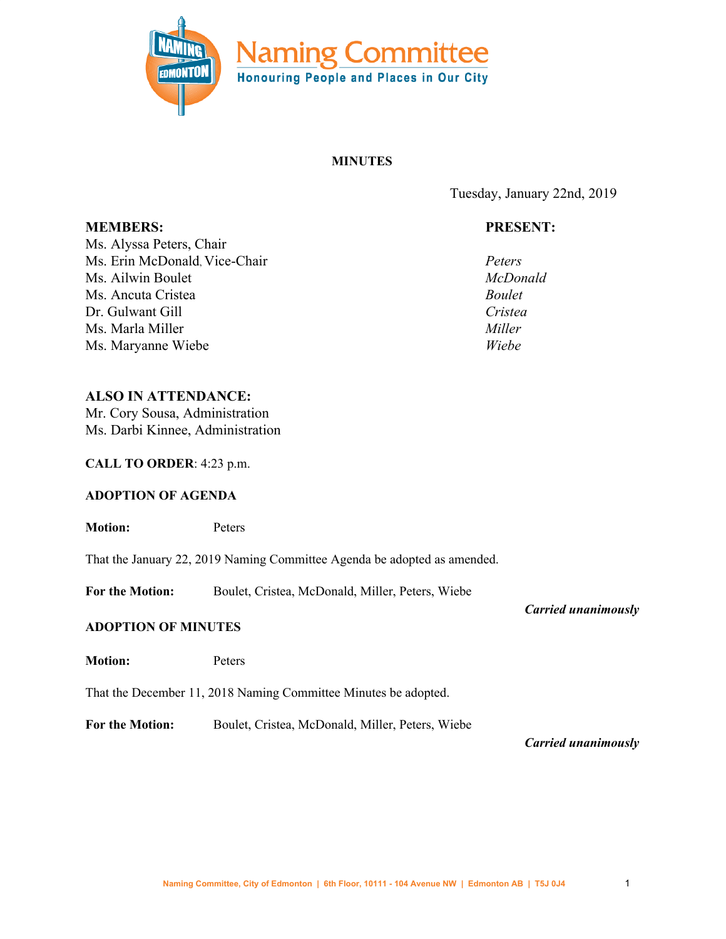

# **MINUTES**

Tuesday, January 22nd, 2019

# **PRESENT:**

*Peters McDonald Boulet Cristea Miller Wiebe*

**MEMBERS:** Ms. Alyssa Peters, Chair Ms. Erin McDonald, Vice-Chair Ms. Ailwin Boulet Ms. Ancuta Cristea Dr. Gulwant Gill Ms. Marla Miller Ms. Maryanne Wiebe

# **ALSO IN ATTENDANCE:**

Mr. Cory Sousa, Administration Ms. Darbi Kinnee, Administration

## **CALL TO ORDER**: 4:23 p.m.

#### **ADOPTION OF AGENDA**

**Motion:** Peters That the January 22, 2019 Naming Committee Agenda be adopted as amended. **For the Motion:** Boulet, Cristea, McDonald, Miller, Peters, Wiebe *Carried unanimously* **ADOPTION OF MINUTES Motion:** Peters That the December 11, 2018 Naming Committee Minutes be adopted.

**For the Motion:** Boulet, Cristea, McDonald, Miller, Peters, Wiebe

*Carried unanimously*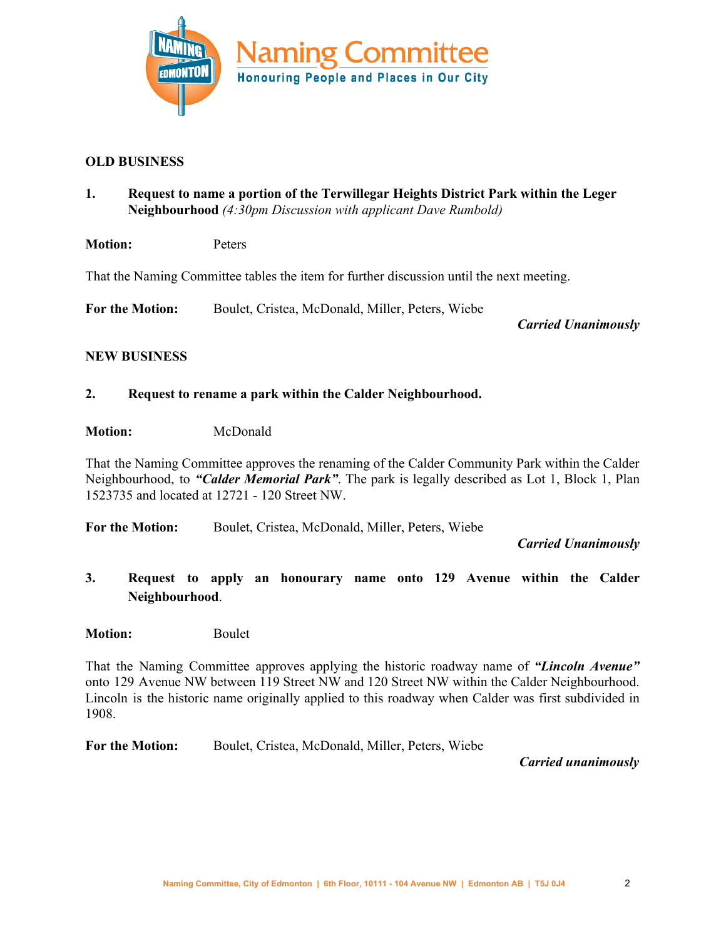

# **OLD BUSINESS**

- **1. Request to name a portion of the Terwillegar Heights District Park within the Leger Neighbourhood** *(4:30pm Discussion with applicant Dave Rumbold)*
- **Motion:** Peters

That the Naming Committee tables the item for further discussion until the next meeting.

**For the Motion:** Boulet, Cristea, McDonald, Miller, Peters, Wiebe

*Carried Unanimously*

## **NEW BUSINESS**

## **2. Request to rename a park within the Calder Neighbourhood.**

## **Motion:** McDonald

That the Naming Committee approves the renaming of the Calder Community Park within the Calder Neighbourhood, to *"Calder Memorial Park"*. The park is legally described as Lot 1, Block 1, Plan 1523735 and located at 12721 - 120 Street NW.

**For the Motion:** Boulet, Cristea, McDonald, Miller, Peters, Wiebe

*Carried Unanimously*

**3. Request to apply an honourary name onto 129 Avenue within the Calder Neighbourhood**.

# **Motion:** Boulet

That the Naming Committee approves applying the historic roadway name of *"Lincoln Avenue"* onto 129 Avenue NW between 119 Street NW and 120 Street NW within the Calder Neighbourhood. Lincoln is the historic name originally applied to this roadway when Calder was first subdivided in 1908.

**For the Motion:** Boulet, Cristea, McDonald, Miller, Peters, Wiebe

*Carried unanimously*